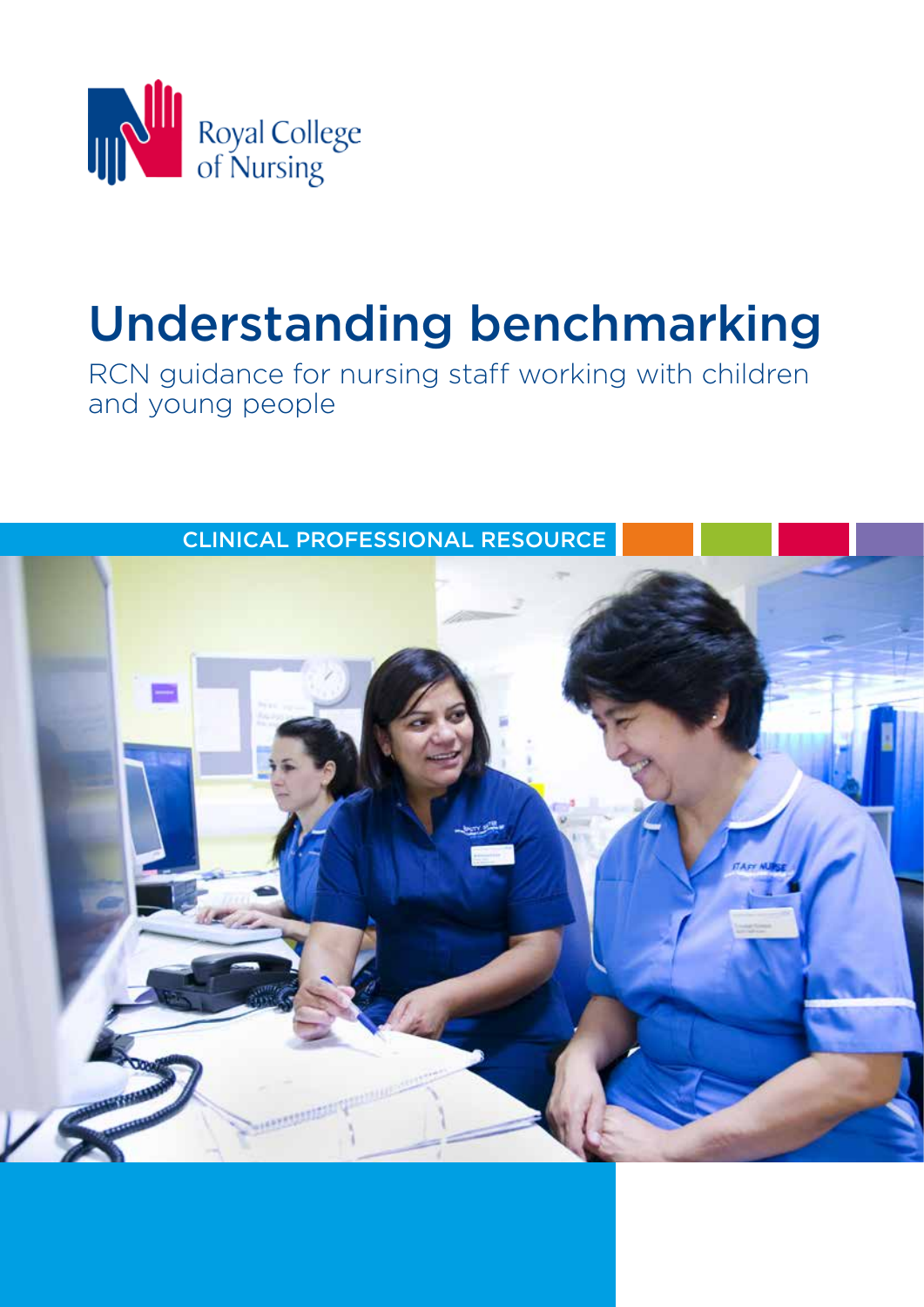

# Understanding benchmarking

RCN guidance for nursing staff working with children and young people

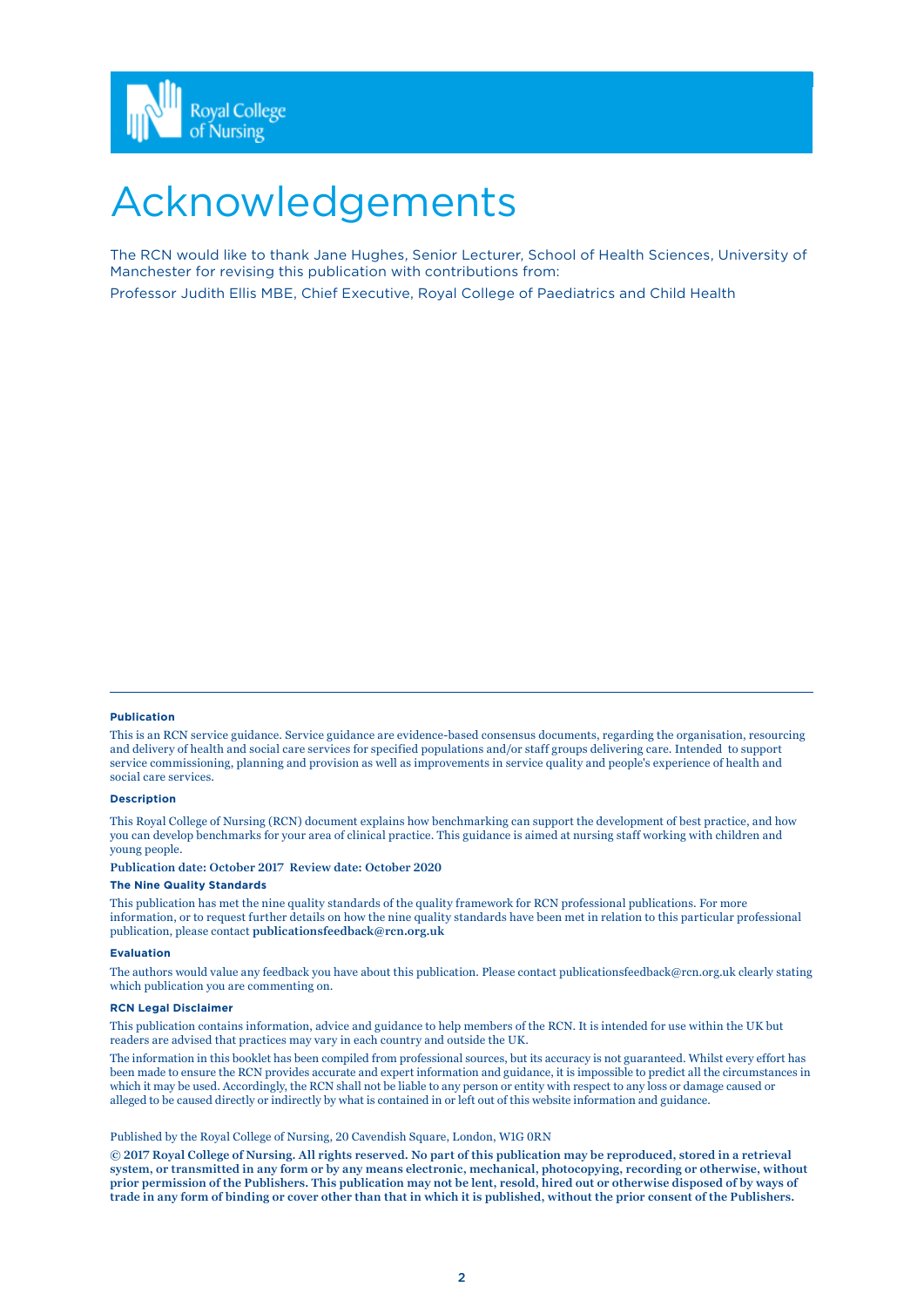

## Acknowledgements

The RCN would like to thank Jane Hughes, Senior Lecturer, School of Health Sciences, University of Manchester for revising this publication with contributions from: Professor Judith Ellis MBE, Chief Executive, Royal College of Paediatrics and Child Health

#### **Publication**

This is an RCN service guidance. Service guidance are evidence-based consensus documents, regarding the organisation, resourcing and delivery of health and social care services for specified populations and/or staff groups delivering care. Intended to support service commissioning, planning and provision as well as improvements in service quality and people's experience of health and social care services.

#### **Description**

This Royal College of Nursing (RCN) document explains how benchmarking can support the development of best practice, and how you can develop benchmarks for your area of clinical practice. This guidance is aimed at nursing staff working with children and young people.

**Publication date: October 2017 Review date: October 2020**

#### **The Nine Quality Standards**

This publication has met the nine quality standards of the quality framework for RCN professional publications. For more information, or to request further details on how the nine quality standards have been met in relation to this particular professional publication, please contact **publicationsfeedback@rcn.org.uk**

#### **Evaluation**

The authors would value any feedback you have about this publication. Please contact publicationsfeedback@rcn.org.uk clearly stating which publication you are commenting on.

#### **RCN Legal Disclaimer**

This publication contains information, advice and guidance to help members of the RCN. It is intended for use within the UK but readers are advised that practices may vary in each country and outside the UK.

The information in this booklet has been compiled from professional sources, but its accuracy is not guaranteed. Whilst every effort has been made to ensure the RCN provides accurate and expert information and guidance, it is impossible to predict all the circumstances in which it may be used. Accordingly, the RCN shall not be liable to any person or entity with respect to any loss or damage caused or alleged to be caused directly or indirectly by what is contained in or left out of this website information and guidance.

#### Published by the Royal College of Nursing, 20 Cavendish Square, London, W1G 0RN

**© 2017 Royal College of Nursing. All rights reserved. No part of this publication may be reproduced, stored in a retrieval system, or transmitted in any form or by any means electronic, mechanical, photocopying, recording or otherwise, without prior permission of the Publishers. This publication may not be lent, resold, hired out or otherwise disposed of by ways of trade in any form of binding or cover other than that in which it is published, without the prior consent of the Publishers.**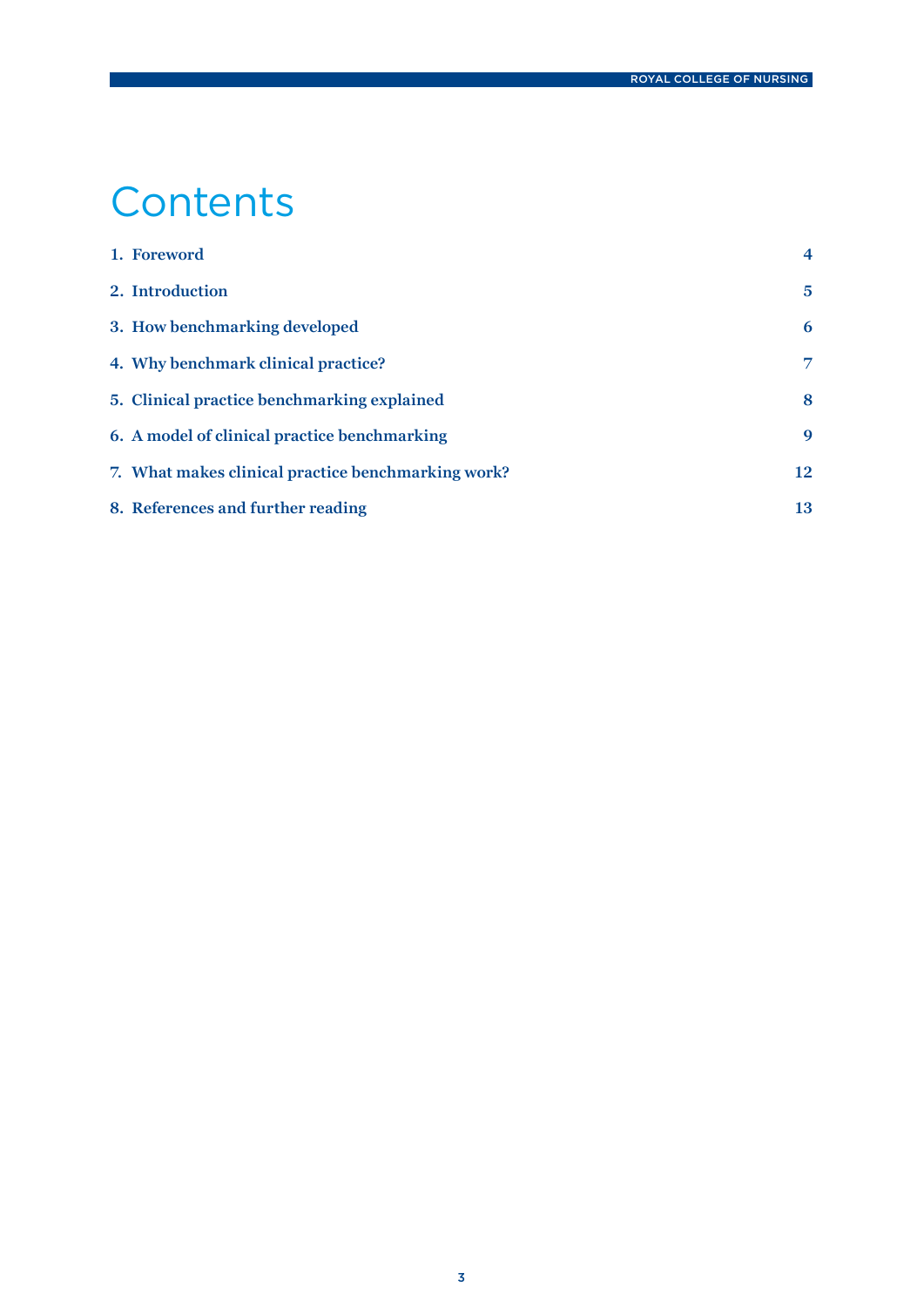## **Contents**

| 1. Foreword                                        | $\overline{\mathbf{4}}$ |
|----------------------------------------------------|-------------------------|
| 2. Introduction                                    | 5                       |
| 3. How benchmarking developed                      | 6                       |
| 4. Why benchmark clinical practice?                | 7                       |
| 5. Clinical practice benchmarking explained        | 8                       |
| 6. A model of clinical practice benchmarking       | 9                       |
| 7. What makes clinical practice benchmarking work? | 12                      |
| 8. References and further reading                  | 13                      |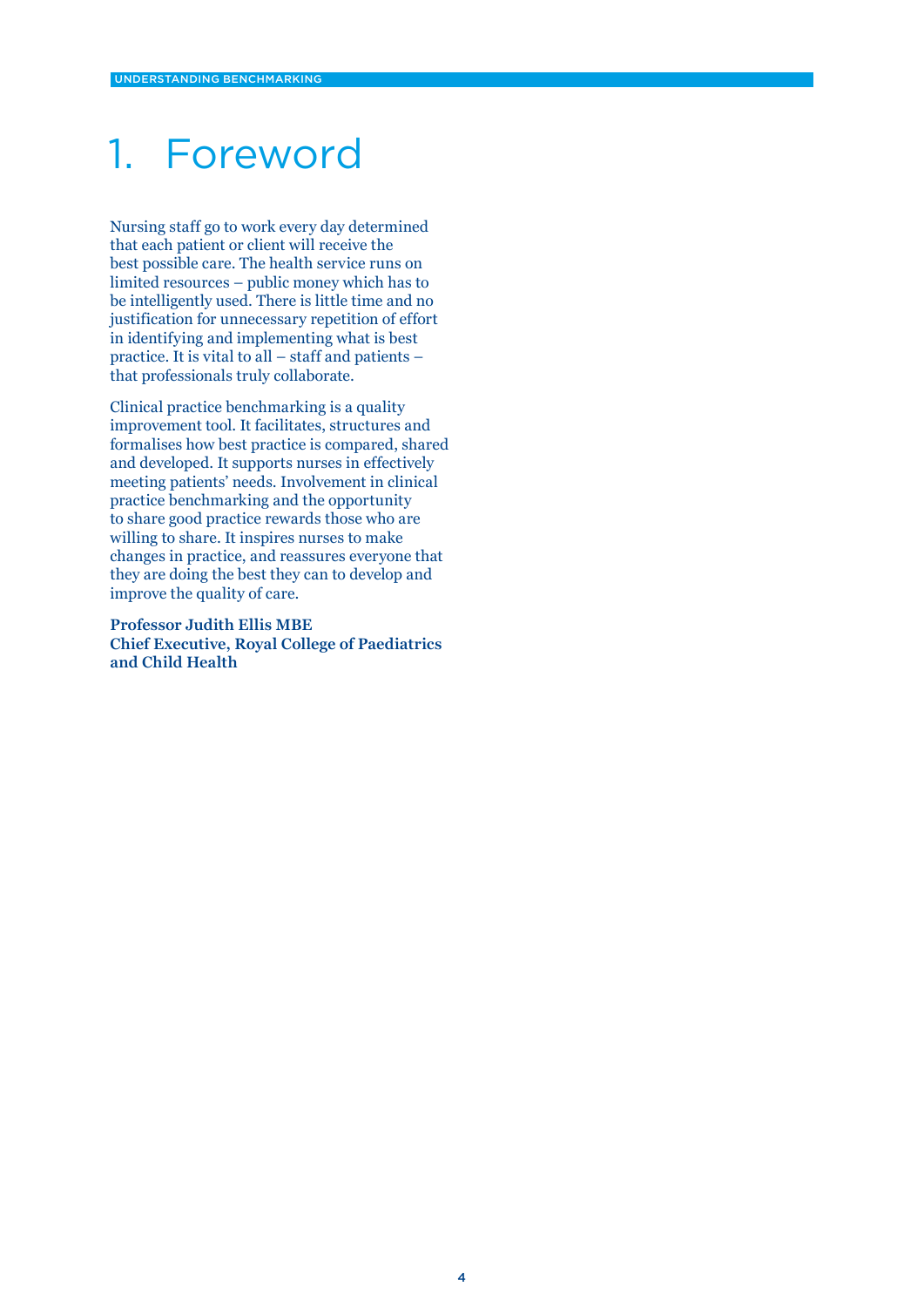### 1. Foreword

Nursing staff go to work every day determined that each patient or client will receive the best possible care. The health service runs on limited resources – public money which has to be intelligently used. There is little time and no justification for unnecessary repetition of effort in identifying and implementing what is best practice. It is vital to all – staff and patients – that professionals truly collaborate.

Clinical practice benchmarking is a quality improvement tool. It facilitates, structures and formalises how best practice is compared, shared and developed. It supports nurses in effectively meeting patients' needs. Involvement in clinical practice benchmarking and the opportunity to share good practice rewards those who are willing to share. It inspires nurses to make changes in practice, and reassures everyone that they are doing the best they can to develop and improve the quality of care.

**Professor Judith Ellis MBE Chief Executive, Royal College of Paediatrics and Child Health**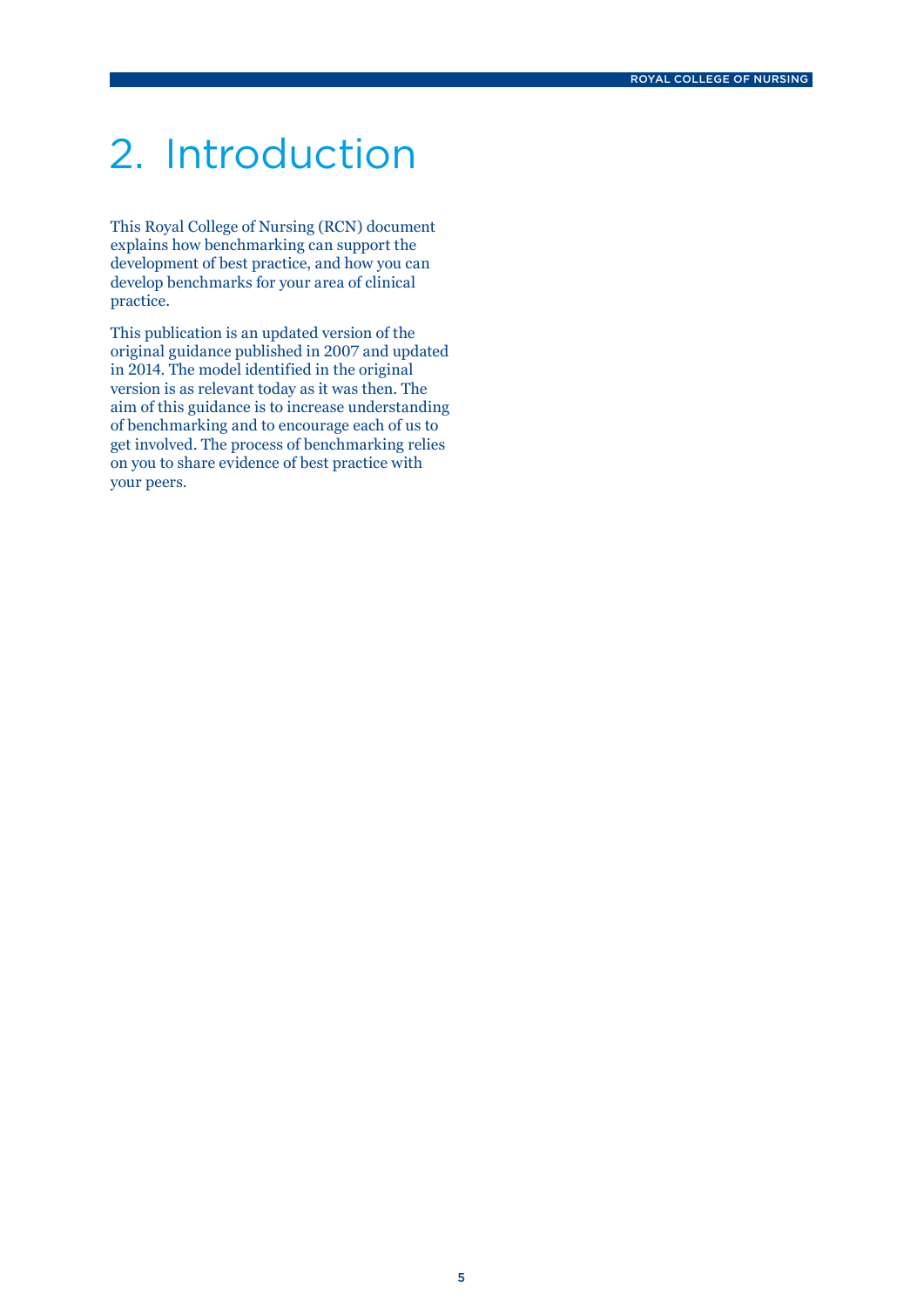## 2. Introduction

This Royal College of Nursing (RCN) document explains how benchmarking can support the development of best practice, and how you can develop benchmarks for your area of clinical practice.

This publication is an updated version of the original guidance published in 2007 and updated in 2014. The model identified in the original version is as relevant today as it was then. The aim of this guidance is to increase understanding of benchmarking and to encourage each of us to get involved. The process of benchmarking relies on you to share evidence of best practice with your peers.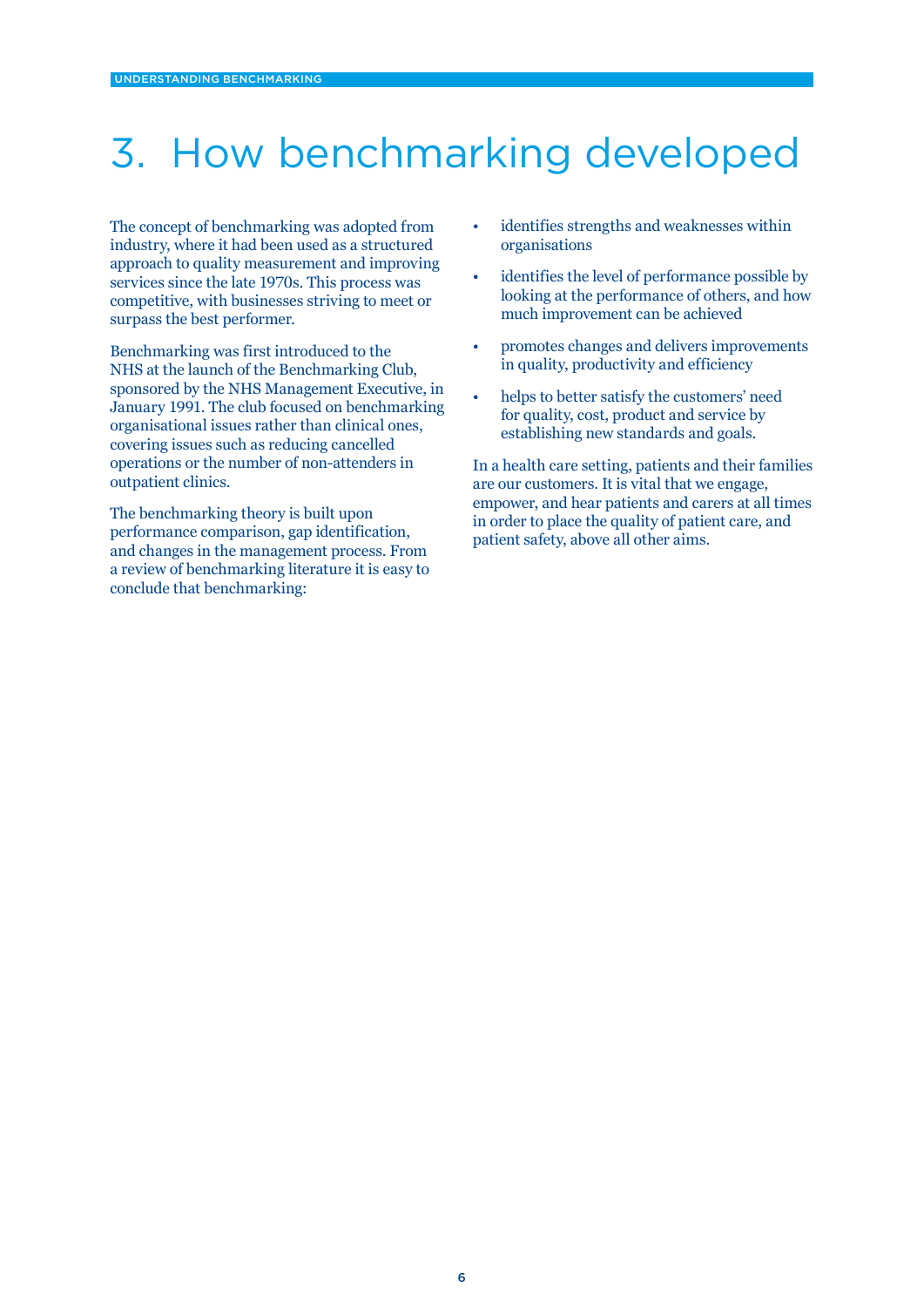## 3. How benchmarking developed

The concept of benchmarking was adopted from industry, where it had been used as a structured approach to quality measurement and improving services since the late 1970s. This process was competitive, with businesses striving to meet or surpass the best performer.

Benchmarking was first introduced to the NHS at the launch of the Benchmarking Club, sponsored by the NHS Management Executive, in January 1991. The club focused on benchmarking organisational issues rather than clinical ones, covering issues such as reducing cancelled operations or the number of non-attenders in outpatient clinics.

The benchmarking theory is built upon performance comparison, gap identification, and changes in the management process. From a review of benchmarking literature it is easy to conclude that benchmarking:

- identifies strengths and weaknesses within organisations
- identifies the level of performance possible by looking at the performance of others, and how much improvement can be achieved
- promotes changes and delivers improvements in quality, productivity and efficiency
- helps to better satisfy the customers' need for quality, cost, product and service by establishing new standards and goals.

In a health care setting, patients and their families are our customers. It is vital that we engage, empower, and hear patients and carers at all times in order to place the quality of patient care, and patient safety, above all other aims.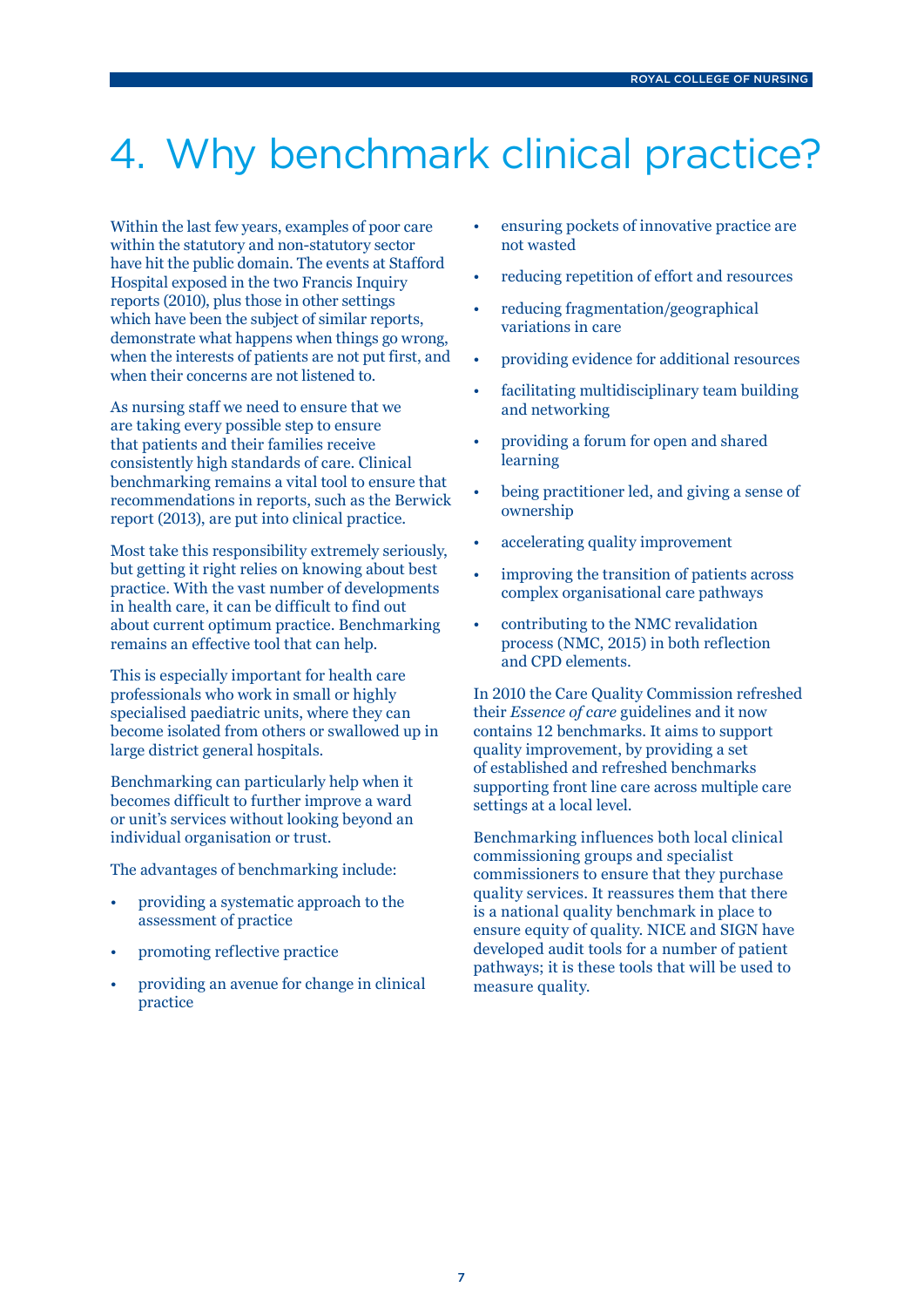## 4. Why benchmark clinical practice?

Within the last few years, examples of poor care within the statutory and non-statutory sector have hit the public domain. The events at Stafford Hospital exposed in the two Francis Inquiry reports (2010), plus those in other settings which have been the subject of similar reports, demonstrate what happens when things go wrong, when the interests of patients are not put first, and when their concerns are not listened to.

As nursing staff we need to ensure that we are taking every possible step to ensure that patients and their families receive consistently high standards of care. Clinical benchmarking remains a vital tool to ensure that recommendations in reports, such as the Berwick report (2013), are put into clinical practice.

Most take this responsibility extremely seriously, but getting it right relies on knowing about best practice. With the vast number of developments in health care, it can be difficult to find out about current optimum practice. Benchmarking remains an effective tool that can help.

This is especially important for health care professionals who work in small or highly specialised paediatric units, where they can become isolated from others or swallowed up in large district general hospitals.

Benchmarking can particularly help when it becomes difficult to further improve a ward or unit's services without looking beyond an individual organisation or trust.

The advantages of benchmarking include:

- providing a systematic approach to the assessment of practice
- promoting reflective practice
- providing an avenue for change in clinical practice
- ensuring pockets of innovative practice are not wasted
- reducing repetition of effort and resources
- reducing fragmentation/geographical variations in care
- providing evidence for additional resources
- facilitating multidisciplinary team building and networking
- providing a forum for open and shared learning
- being practitioner led, and giving a sense of ownership
- accelerating quality improvement
- improving the transition of patients across complex organisational care pathways
- contributing to the NMC revalidation process (NMC, 2015) in both reflection and CPD elements.

In 2010 the Care Quality Commission refreshed their *Essence of care* guidelines and it now contains 12 benchmarks. It aims to support quality improvement, by providing a set of established and refreshed benchmarks supporting front line care across multiple care settings at a local level.

Benchmarking influences both local clinical commissioning groups and specialist commissioners to ensure that they purchase quality services. It reassures them that there is a national quality benchmark in place to ensure equity of quality. NICE and SIGN have developed audit tools for a number of patient pathways; it is these tools that will be used to measure quality.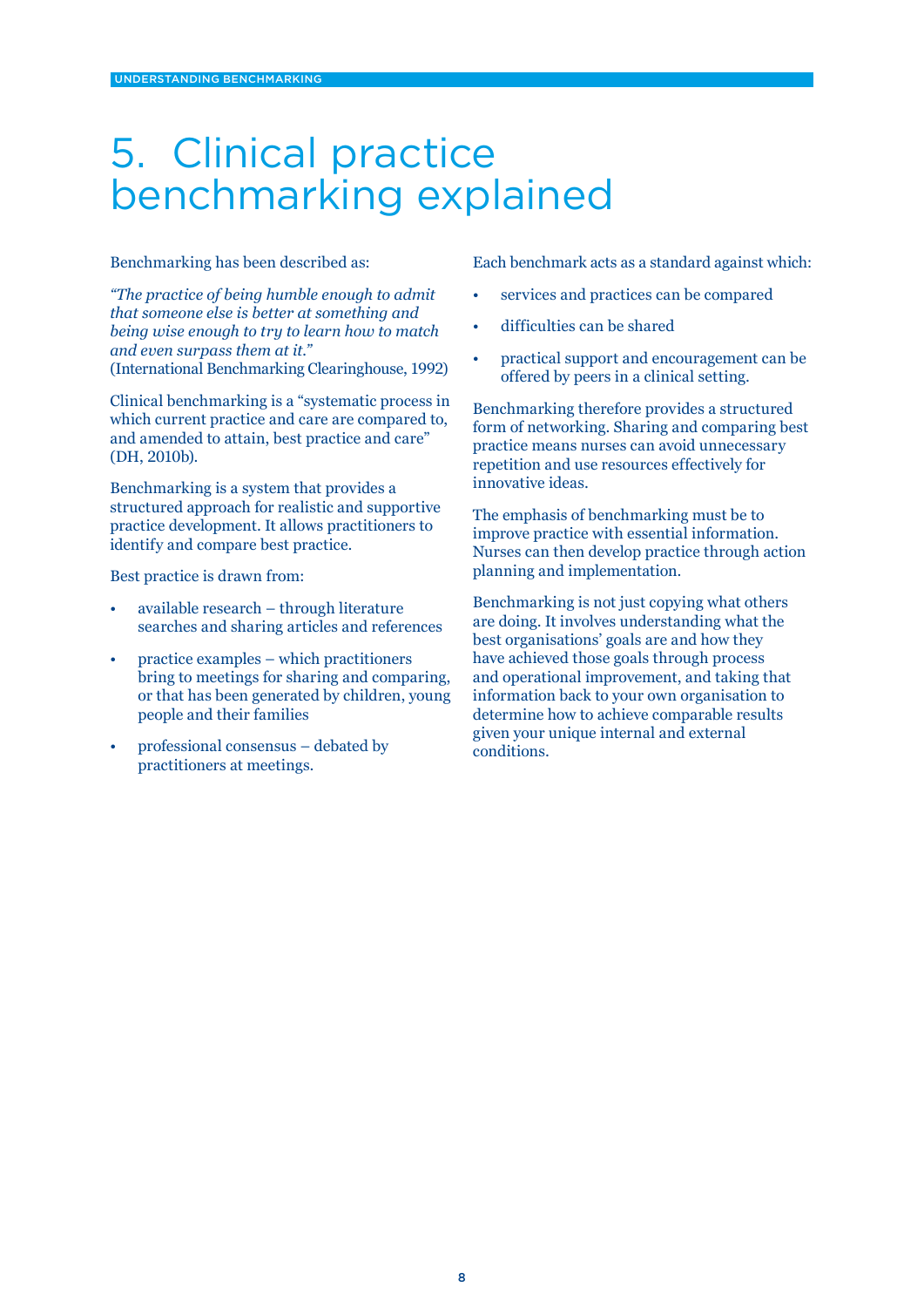### 5. Clinical practice benchmarking explained

#### Benchmarking has been described as:

*"The practice of being humble enough to admit that someone else is better at something and being wise enough to try to learn how to match and even surpass them at it."*  (International Benchmarking Clearinghouse, 1992)

Clinical benchmarking is a "systematic process in which current practice and care are compared to, and amended to attain, best practice and care" (DH, 2010b).

Benchmarking is a system that provides a structured approach for realistic and supportive practice development. It allows practitioners to identify and compare best practice.

Best practice is drawn from:

- available research through literature searches and sharing articles and references
- practice examples which practitioners bring to meetings for sharing and comparing, or that has been generated by children, young people and their families
- professional consensus debated by practitioners at meetings.

Each benchmark acts as a standard against which:

- services and practices can be compared
- difficulties can be shared
- practical support and encouragement can be offered by peers in a clinical setting.

Benchmarking therefore provides a structured form of networking. Sharing and comparing best practice means nurses can avoid unnecessary repetition and use resources effectively for innovative ideas.

The emphasis of benchmarking must be to improve practice with essential information. Nurses can then develop practice through action planning and implementation.

Benchmarking is not just copying what others are doing. It involves understanding what the best organisations' goals are and how they have achieved those goals through process and operational improvement, and taking that information back to your own organisation to determine how to achieve comparable results given your unique internal and external conditions.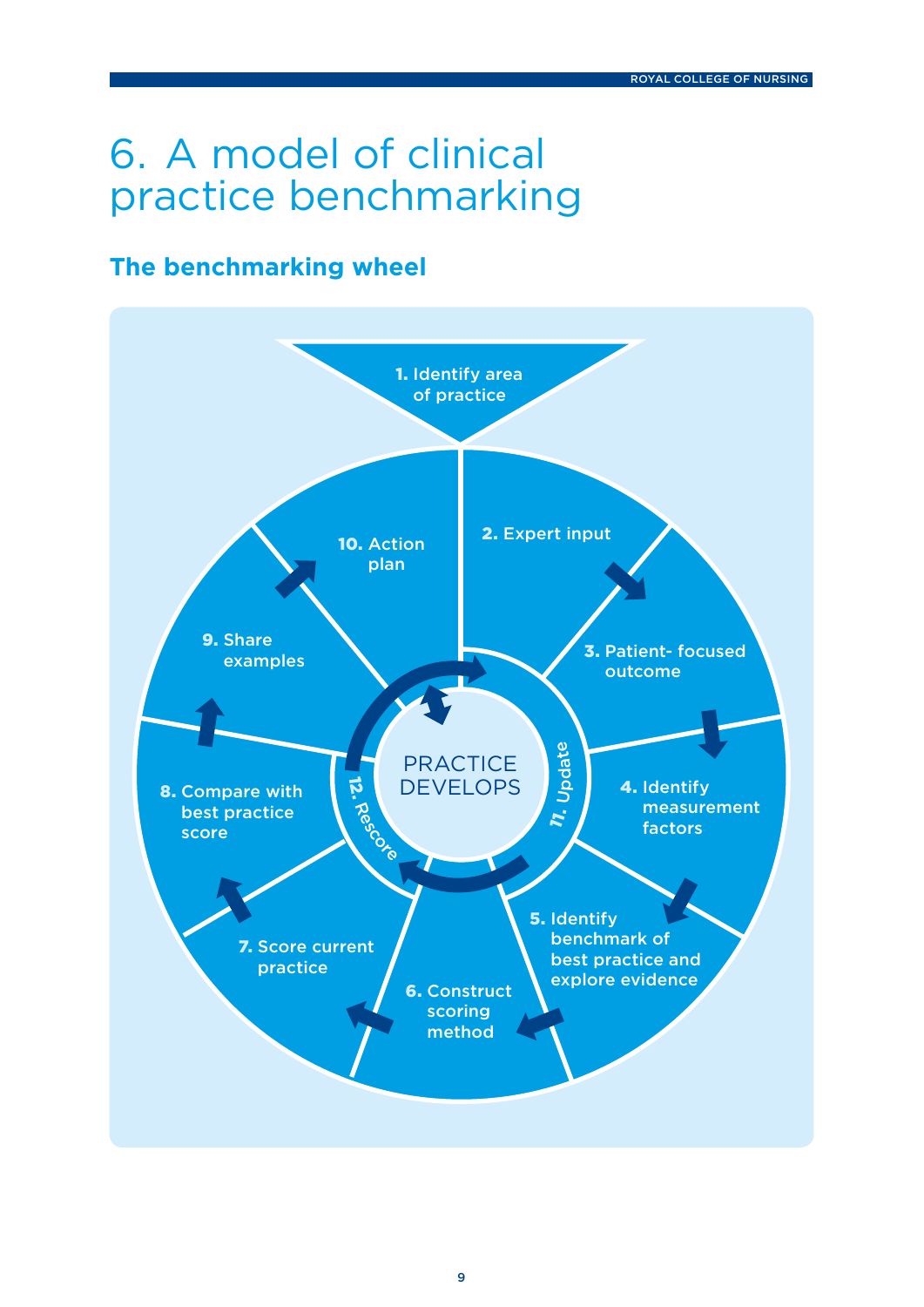## 6. A model of clinical practice benchmarking

### **The benchmarking wheel**

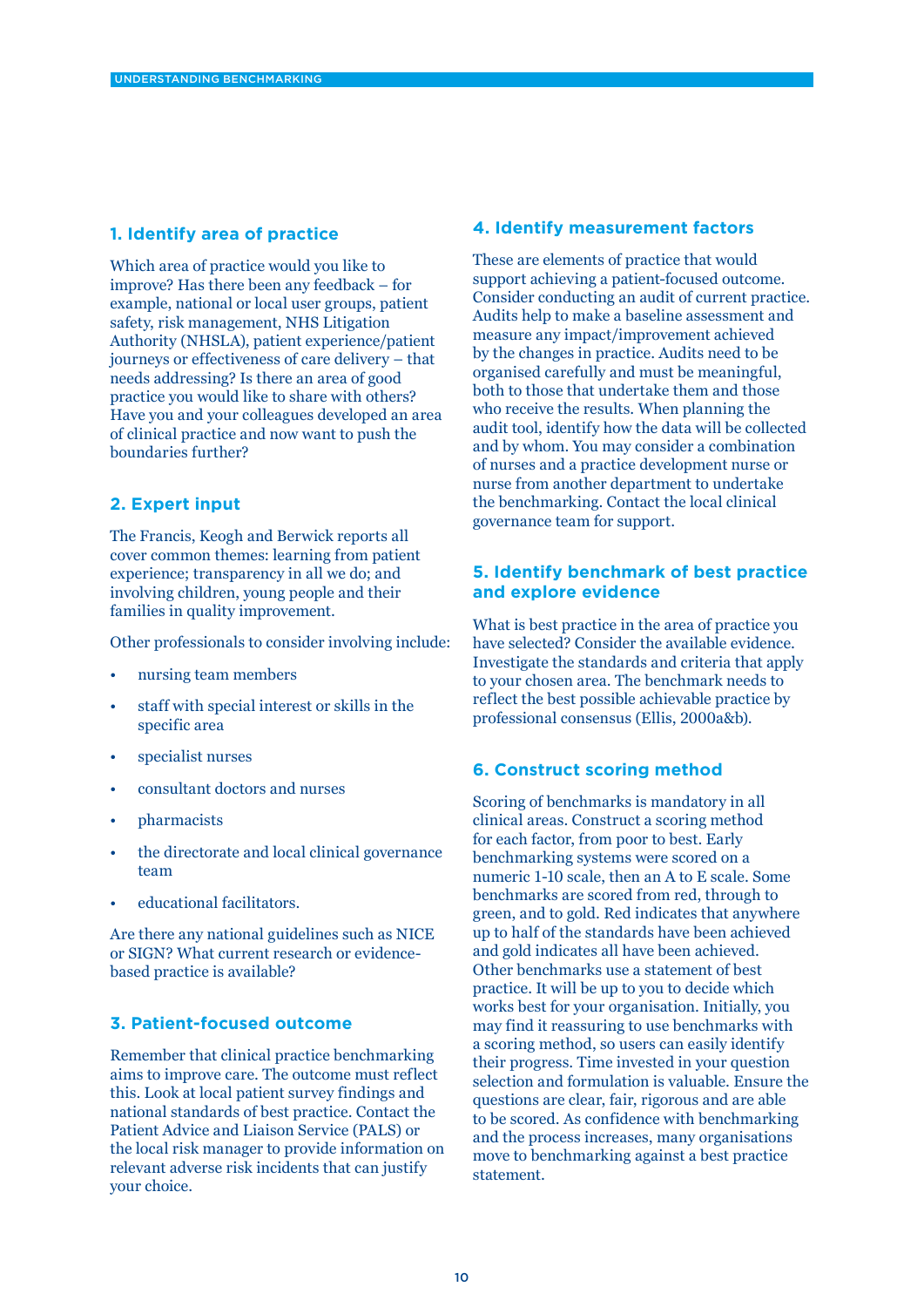### **1. Identify area of practice**

Which area of practice would you like to improve? Has there been any feedback – for example, national or local user groups, patient safety, risk management, NHS Litigation Authority (NHSLA), patient experience/patient journeys or effectiveness of care delivery – that needs addressing? Is there an area of good practice you would like to share with others? Have you and your colleagues developed an area of clinical practice and now want to push the boundaries further?

### **2. Expert input**

The Francis, Keogh and Berwick reports all cover common themes: learning from patient experience; transparency in all we do; and involving children, young people and their families in quality improvement.

Other professionals to consider involving include:

- nursing team members
- staff with special interest or skills in the specific area
- specialist nurses
- consultant doctors and nurses
- pharmacists
- the directorate and local clinical governance team
- educational facilitators.

Are there any national guidelines such as NICE or SIGN? What current research or evidencebased practice is available?

### **3. Patient-focused outcome**

Remember that clinical practice benchmarking aims to improve care. The outcome must reflect this. Look at local patient survey findings and national standards of best practice. Contact the Patient Advice and Liaison Service (PALS) or the local risk manager to provide information on relevant adverse risk incidents that can justify your choice.

### **4. Identify measurement factors**

These are elements of practice that would support achieving a patient-focused outcome. Consider conducting an audit of current practice. Audits help to make a baseline assessment and measure any impact/improvement achieved by the changes in practice. Audits need to be organised carefully and must be meaningful, both to those that undertake them and those who receive the results. When planning the audit tool, identify how the data will be collected and by whom. You may consider a combination of nurses and a practice development nurse or nurse from another department to undertake the benchmarking. Contact the local clinical governance team for support.

### **5. Identify benchmark of best practice and explore evidence**

What is best practice in the area of practice you have selected? Consider the available evidence. Investigate the standards and criteria that apply to your chosen area. The benchmark needs to reflect the best possible achievable practice by professional consensus (Ellis, 2000a&b).

#### **6. Construct scoring method**

Scoring of benchmarks is mandatory in all clinical areas. Construct a scoring method for each factor, from poor to best. Early benchmarking systems were scored on a numeric 1-10 scale, then an A to E scale. Some benchmarks are scored from red, through to green, and to gold. Red indicates that anywhere up to half of the standards have been achieved and gold indicates all have been achieved. Other benchmarks use a statement of best practice. It will be up to you to decide which works best for your organisation. Initially, you may find it reassuring to use benchmarks with a scoring method, so users can easily identify their progress. Time invested in your question selection and formulation is valuable. Ensure the questions are clear, fair, rigorous and are able to be scored. As confidence with benchmarking and the process increases, many organisations move to benchmarking against a best practice statement.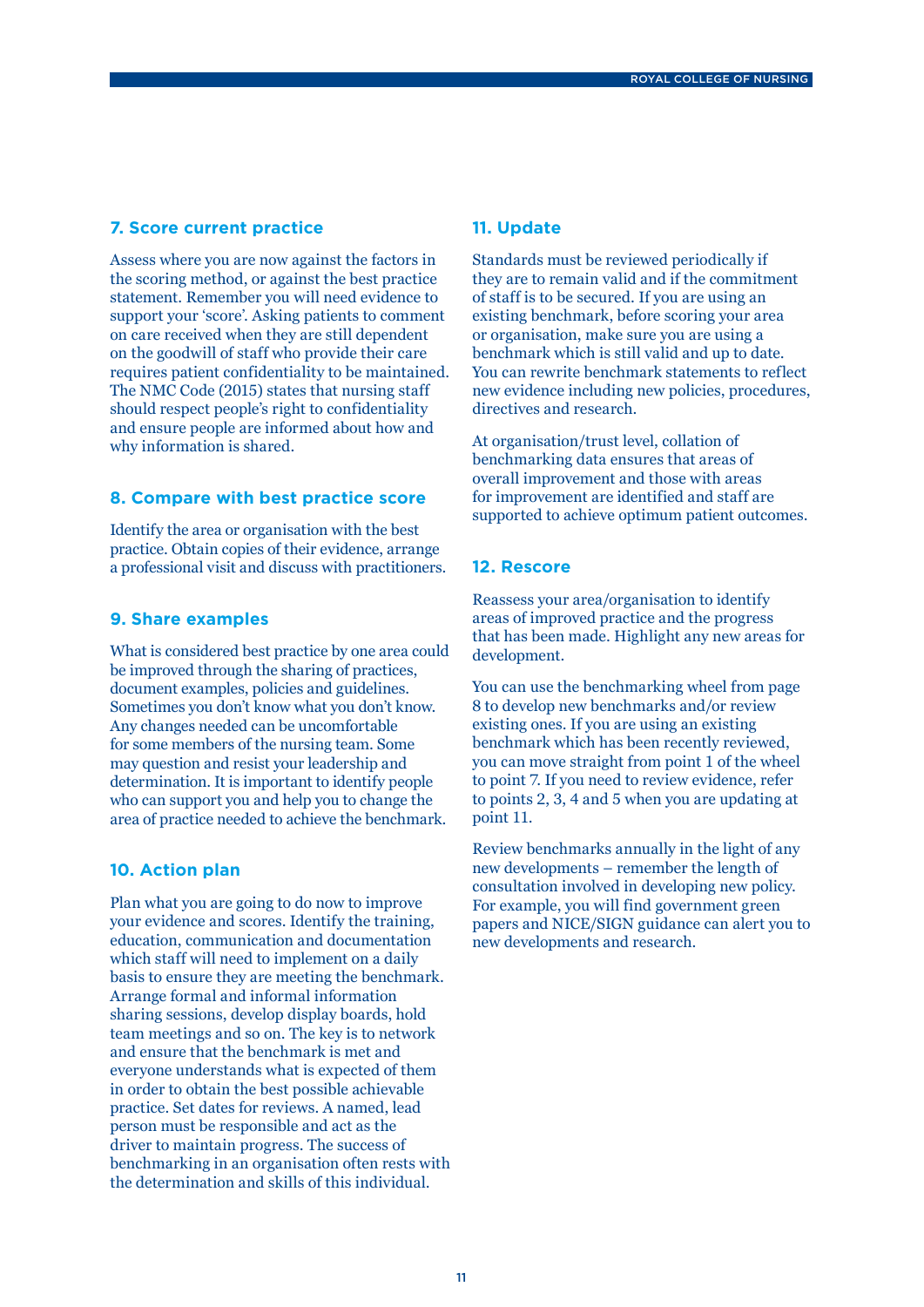#### **7. Score current practice**

Assess where you are now against the factors in the scoring method, or against the best practice statement. Remember you will need evidence to support your 'score'. Asking patients to comment on care received when they are still dependent on the goodwill of staff who provide their care requires patient confidentiality to be maintained. The NMC Code (2015) states that nursing staff should respect people's right to confidentiality and ensure people are informed about how and why information is shared.

#### **8. Compare with best practice score**

Identify the area or organisation with the best practice. Obtain copies of their evidence, arrange a professional visit and discuss with practitioners.

### **9. Share examples**

What is considered best practice by one area could be improved through the sharing of practices, document examples, policies and guidelines. Sometimes you don't know what you don't know. Any changes needed can be uncomfortable for some members of the nursing team. Some may question and resist your leadership and determination. It is important to identify people who can support you and help you to change the area of practice needed to achieve the benchmark.

#### **10. Action plan**

Plan what you are going to do now to improve your evidence and scores. Identify the training, education, communication and documentation which staff will need to implement on a daily basis to ensure they are meeting the benchmark. Arrange formal and informal information sharing sessions, develop display boards, hold team meetings and so on. The key is to network and ensure that the benchmark is met and everyone understands what is expected of them in order to obtain the best possible achievable practice. Set dates for reviews. A named, lead person must be responsible and act as the driver to maintain progress. The success of benchmarking in an organisation often rests with the determination and skills of this individual.

#### **11. Update**

Standards must be reviewed periodically if they are to remain valid and if the commitment of staff is to be secured. If you are using an existing benchmark, before scoring your area or organisation, make sure you are using a benchmark which is still valid and up to date. You can rewrite benchmark statements to reflect new evidence including new policies, procedures, directives and research.

At organisation/trust level, collation of benchmarking data ensures that areas of overall improvement and those with areas for improvement are identified and staff are supported to achieve optimum patient outcomes.

### **12. Rescore**

Reassess your area/organisation to identify areas of improved practice and the progress that has been made. Highlight any new areas for development.

You can use the benchmarking wheel from page 8 to develop new benchmarks and/or review existing ones. If you are using an existing benchmark which has been recently reviewed, you can move straight from point 1 of the wheel to point 7. If you need to review evidence, refer to points 2, 3, 4 and 5 when you are updating at point 11.

Review benchmarks annually in the light of any new developments – remember the length of consultation involved in developing new policy. For example, you will find government green papers and NICE/SIGN guidance can alert you to new developments and research.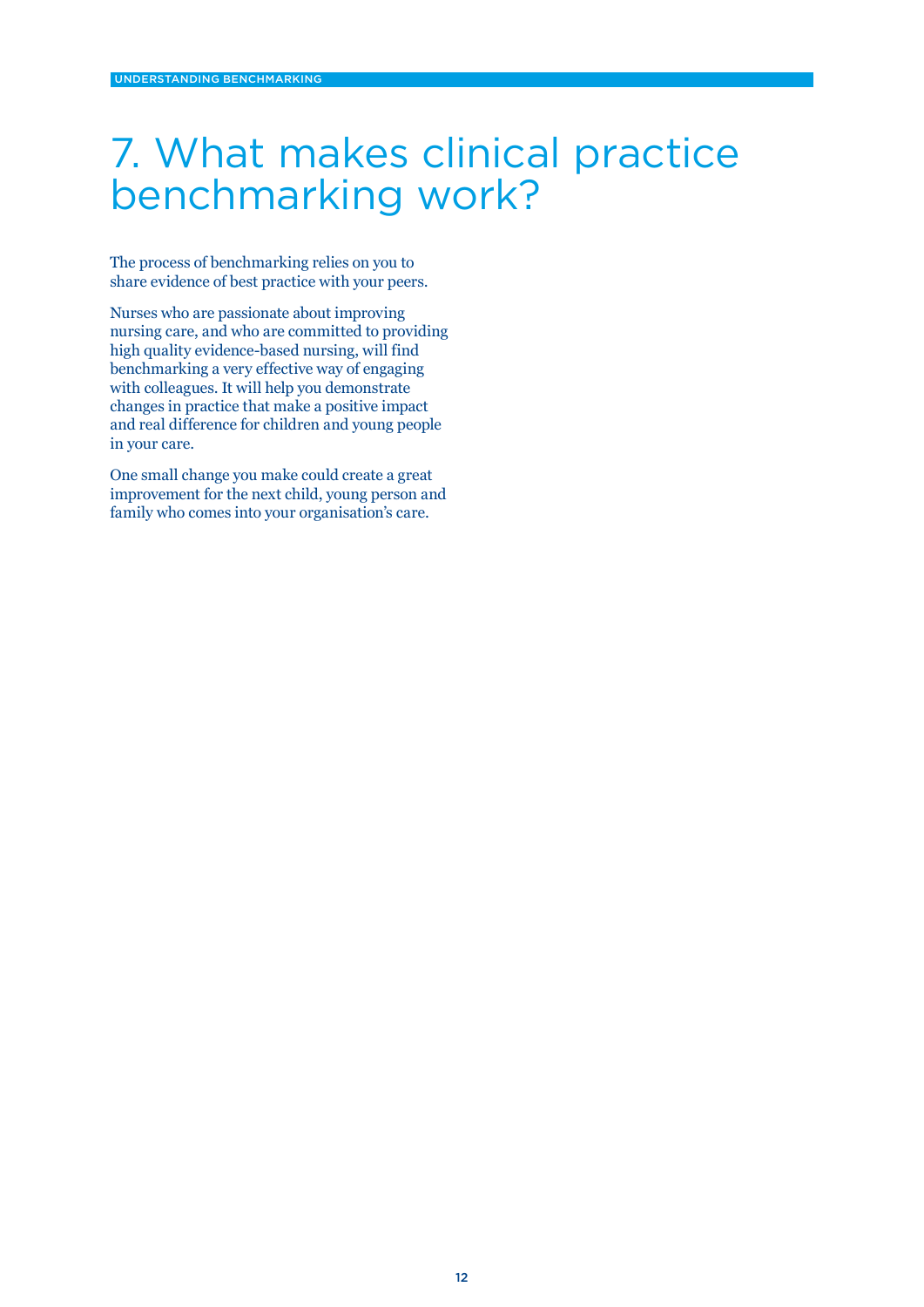### 7. What makes clinical practice benchmarking work?

The process of benchmarking relies on you to share evidence of best practice with your peers.

Nurses who are passionate about improving nursing care, and who are committed to providing high quality evidence-based nursing, will find benchmarking a very effective way of engaging with colleagues. It will help you demonstrate changes in practice that make a positive impact and real difference for children and young people in your care.

One small change you make could create a great improvement for the next child, young person and family who comes into your organisation's care.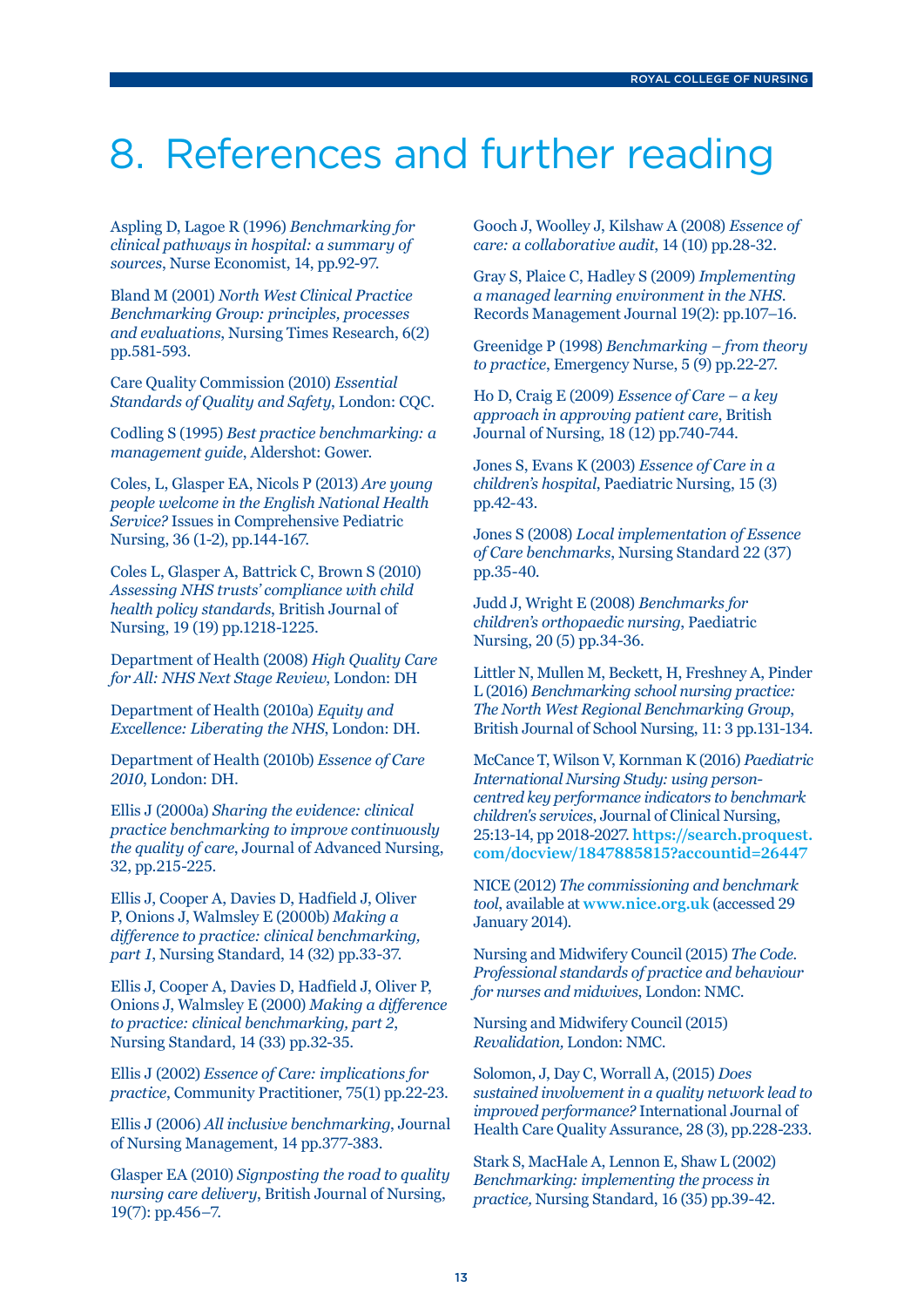### 8. References and further reading

Aspling D, Lagoe R (1996) *Benchmarking for clinical pathways in hospital: a summary of sources*, Nurse Economist, 14, pp.92-97.

Bland M (2001) *North West Clinical Practice Benchmarking Group: principles, processes and evaluations*, Nursing Times Research, 6(2) pp.581-593.

Care Quality Commission (2010) *Essential Standards of Quality and Safety*, London: CQC.

Codling S (1995) *Best practice benchmarking: a management guide*, Aldershot: Gower.

Coles, L, Glasper EA, Nicols P (2013) *Are young people welcome in the English National Health Service?* Issues in Comprehensive Pediatric Nursing, 36 (1-2), pp.144-167.

Coles L, Glasper A, Battrick C, Brown S (2010) *Assessing NHS trusts' compliance with child health policy standards*, British Journal of Nursing, 19 (19) pp.1218-1225.

Department of Health (2008) *High Quality Care for All: NHS Next Stage Review*, London: DH

Department of Health (2010a) *Equity and Excellence: Liberating the NHS*, London: DH.

Department of Health (2010b) *Essence of Care 2010*, London: DH.

Ellis J (2000a) *Sharing the evidence: clinical practice benchmarking to improve continuously the quality of care*, Journal of Advanced Nursing, 32, pp.215-225.

Ellis J, Cooper A, Davies D, Hadfield J, Oliver P, Onions J, Walmsley E (2000b) *Making a difference to practice: clinical benchmarking, part 1*, Nursing Standard, 14 (32) pp.33-37.

Ellis J, Cooper A, Davies D, Hadfield J, Oliver P, Onions J, Walmsley E (2000) *Making a difference to practice: clinical benchmarking, part 2*, Nursing Standard, 14 (33) pp.32-35.

Ellis J (2002) *Essence of Care: implications for practice*, Community Practitioner, 75(1) pp.22-23.

Ellis J (2006) *All inclusive benchmarking*, Journal of Nursing Management, 14 pp.377-383.

Glasper EA (2010) *Signposting the road to quality nursing care delivery*, British Journal of Nursing, 19(7): pp.456–7.

Gooch J, Woolley J, Kilshaw A (2008) *Essence of care: a collaborative audit*, 14 (10) pp.28-32.

Gray S, Plaice C, Hadley S (2009) *Implementing a managed learning environment in the NHS*. Records Management Journal 19(2): pp.107–16.

Greenidge P (1998) *Benchmarking – from theory to practice*, Emergency Nurse, 5 (9) pp.22-27.

Ho D, Craig E (2009) *Essence of Care – a key approach in approving patient care*, British Journal of Nursing, 18 (12) pp.740-744.

Jones S, Evans K (2003) *Essence of Care in a children's hospital*, Paediatric Nursing, 15 (3) pp.42-43.

Jones S (2008) *Local implementation of Essence of Care benchmarks*, Nursing Standard 22 (37) pp.35-40.

Judd J, Wright E (2008) *Benchmarks for children's orthopaedic nursing*, Paediatric Nursing, 20 (5) pp.34-36.

Littler N, Mullen M, Beckett, H, Freshney A, Pinder L (2016) *Benchmarking school nursing practice: The North West Regional Benchmarking Group*, British Journal of School Nursing, 11: 3 pp.131-134.

McCance T, Wilson V, Kornman K (2016) *Paediatric International Nursing Study: using personcentred key performance indicators to benchmark children's services*, Journal of Clinical Nursing, 25:13-14, pp 2018-2027. **https://search.proquest. com/docview/1847885815?accountid=26447** 

NICE (2012) *The commissioning and benchmark tool*, available at **www.nice.org.uk** (accessed 29 January 2014).

Nursing and Midwifery Council (2015) *The Code. Professional standards of practice and behaviour for nurses and midwives*, London: NMC.

Nursing and Midwifery Council (2015) *Revalidation,* London: NMC.

Solomon, J, Day C, Worrall A, (2015) *Does sustained involvement in a quality network lead to improved performance?* International Journal of Health Care Quality Assurance, 28 (3), pp.228-233.

Stark S, MacHale A, Lennon E, Shaw L (2002) *Benchmarking: implementing the process in practice,* Nursing Standard, 16 (35) pp.39-42.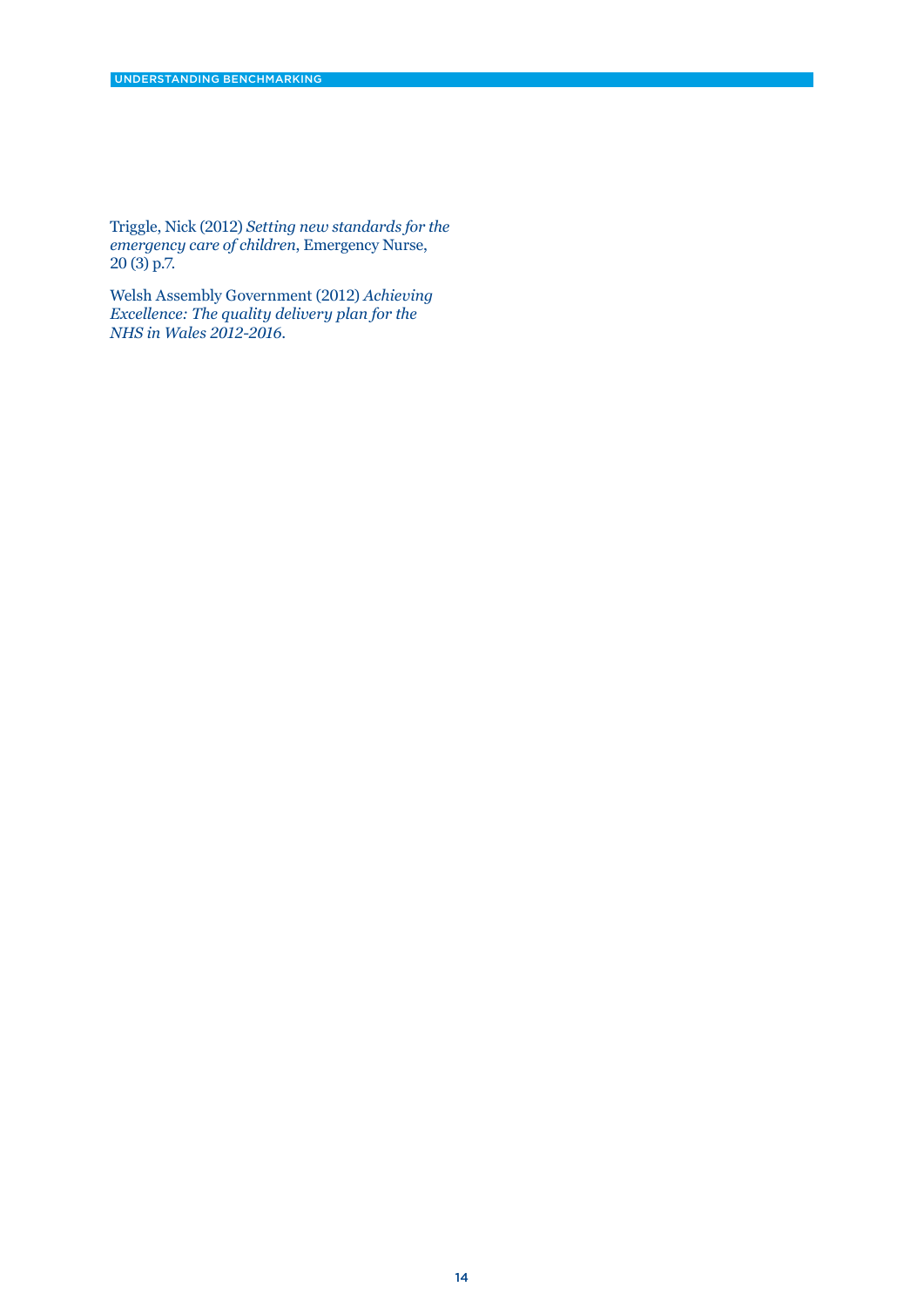Triggle, Nick (2012) *Setting new standards for the emergency care of children*, Emergency Nurse, 20 (3) p.7.

Welsh Assembly Government (2012) *Achieving Excellence: The quality delivery plan for the NHS in Wales 2012-2016*.